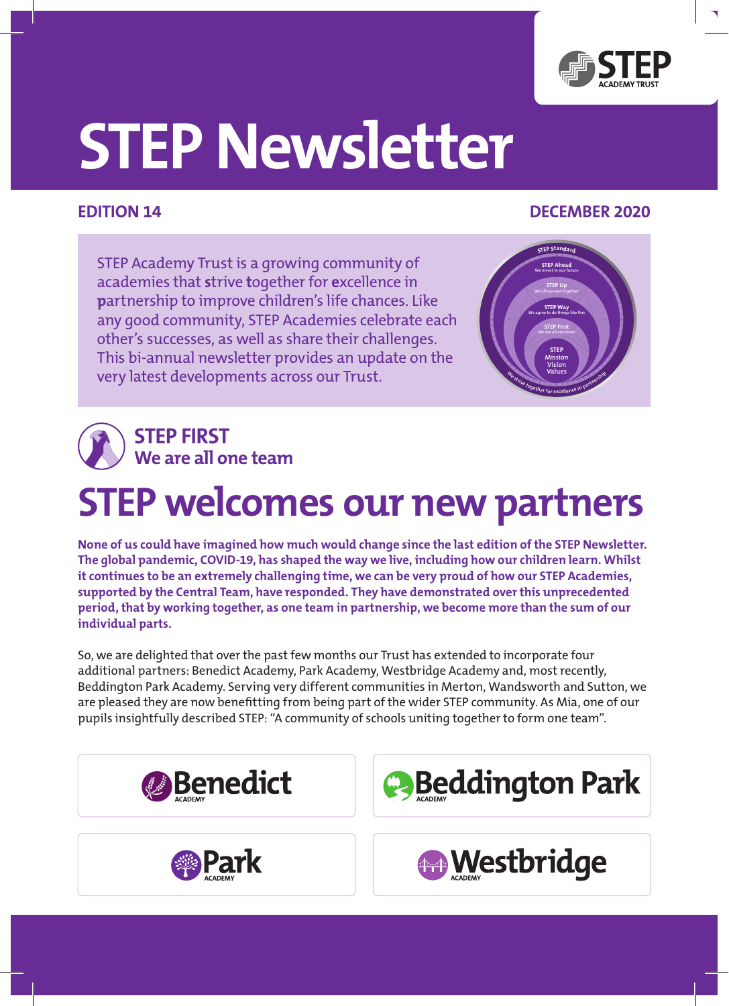

# **STEP Newsletter**

#### **Edition 14 December 2020**

STEP Academy Trust is a growing community of academies that **s**trive **t**ogether for **e**xcellence in **p**artnership to improve children's life chances. Like any good community, STEP Academies celebrate each other's successes, as well as share their challenges. This bi-annual newsletter provides an update on the very latest developments across our Trust.





## **STEP welcomes our new partners**

**None of us could have imagined how much would change since the last edition of the STEP Newsletter. The global pandemic, COVID-19, has shaped the way we live, including how our children learn. Whilst it continues to be an extremely challenging time, we can be very proud of how our STEP Academies, supported by the Central Team, have responded. They have demonstrated over this unprecedented period, that by working together, as one team in partnership, we become more than the sum of our individual parts.**

So, we are delighted that over the past few months our Trust has extended to incorporate four additional partners: Benedict Academy, Park Academy, Westbridge Academy and, most recently, Beddington Park Academy. Serving very different communities in Merton, Wandsworth and Sutton, we are pleased they are now benefitting from being part of the wider STEP community. As Mia, one of our pupils insightfully described STEP: "A community of schools uniting together to form one team".







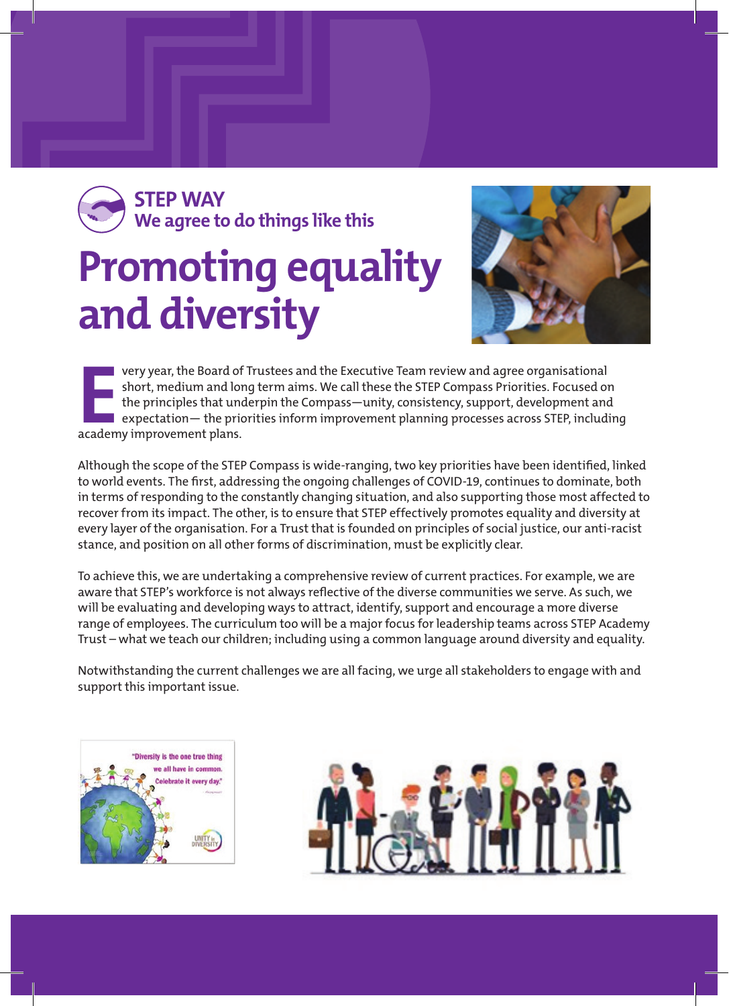### **Promoting equality and diversity STEP WAY We agree to do things like this**



**EXECUTE 15 YEAR 15 YEAR 15 YEAR 15 YEAR 15 YEAR 15 YEAR 15 YEAR 15 YEAR 15 YEAR 15 YEAR 15 YEAR 15 YEAR 15 YEAR 15 YEAR 15 YEAR 15 YEAR 15 YEAR 15 YEAR 15 YEAR 15 YEAR 15 YEAR 15 YEAR 15 YEAR 15 YEAR 15 YEAR 15 YEAR 15 YE** very year, the Board of Trustees and the Executive Team review and agree organisational short, medium and long term aims. We call these the STEP Compass Priorities. Focused on the principles that underpin the Compass—unity, consistency, support, development and  $\blacksquare$  expectation— the priorities inform improvement planning processes across STEP, including

Although the scope of the STEP Compass is wide-ranging, two key priorities have been identified, linked to world events. The first, addressing the ongoing challenges of COVID-19, continues to dominate, both in terms of responding to the constantly changing situation, and also supporting those most affected to recover from its impact. The other, is to ensure that STEP effectively promotes equality and diversity at every layer of the organisation. For a Trust that is founded on principles of social justice, our anti-racist stance, and position on all other forms of discrimination, must be explicitly clear.

To achieve this, we are undertaking a comprehensive review of current practices. For example, we are aware that STEP's workforce is not always reflective of the diverse communities we serve. As such, we will be evaluating and developing ways to attract, identify, support and encourage a more diverse range of employees. The curriculum too will be a major focus for leadership teams across STEP Academy Trust – what we teach our children; including using a common language around diversity and equality.

Notwithstanding the current challenges we are all facing, we urge all stakeholders to engage with and support this important issue.



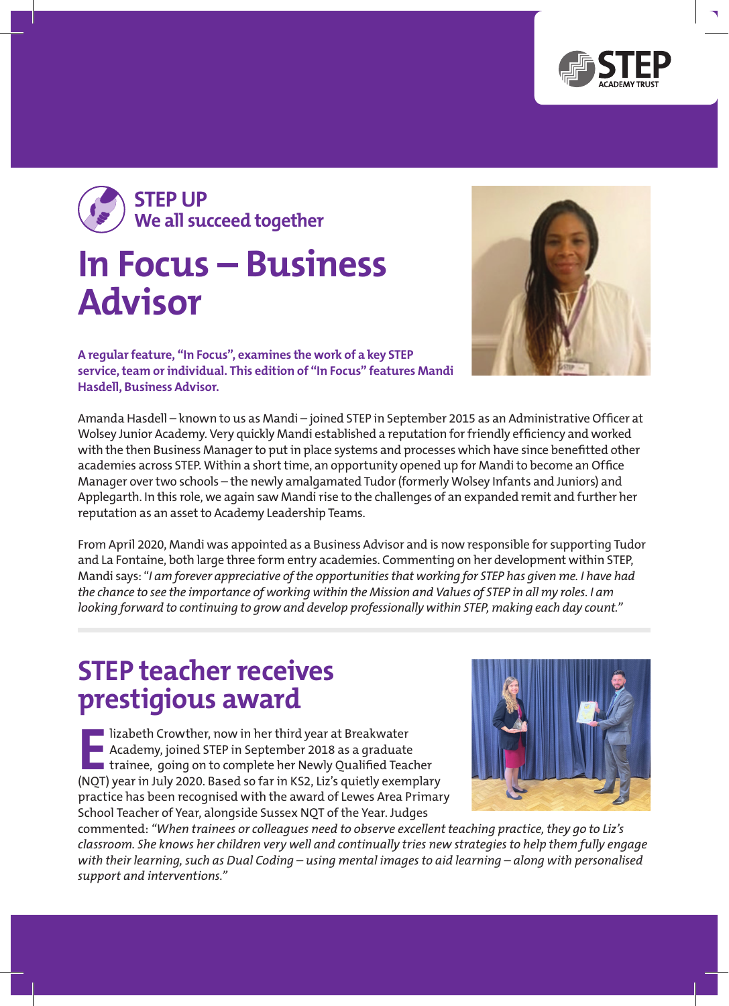





**A regular feature, "In Focus", examines the work of a key STEP service, team or individual. This edition of "In Focus" features Mandi Hasdell, Business Advisor.** 

Amanda Hasdell – known to us as Mandi – joined STEP in September 2015 as an Administrative Officer at Wolsey Junior Academy. Very quickly Mandi established a reputation for friendly efficiency and worked with the then Business Manager to put in place systems and processes which have since benefitted other academies across STEP. Within a short time, an opportunity opened up for Mandi to become an Office Manager over two schools – the newly amalgamated Tudor (formerly Wolsey Infants and Juniors) and Applegarth. In this role, we again saw Mandi rise to the challenges of an expanded remit and further her reputation as an asset to Academy Leadership Teams.

From April 2020, Mandi was appointed as a Business Advisor and is now responsible for supporting Tudor and La Fontaine, both large three form entry academies. Commenting on her development within STEP, Mandi says: "*I am forever appreciative of the opportunities that working for STEP has given me. I have had the chance to see the importance of working within the Mission and Values of STEP in all my roles. I am looking forward to continuing to grow and develop professionally within STEP, making each day count."*

#### **STEP teacher receives prestigious award**

**Elizabeth Crowther, now in her third year at Breakwater**<br> **E** Academy, joined STEP in September 2018 as a graduate<br> **Example 1980** to complete her Newly Qualified Teacher<br>
(NOT) year in July 2020, Based so far in KS2, Liz Academy, joined STEP in September 2018 as a graduate (NQT) year in July 2020. Based so far in KS2, Liz's quietly exemplary practice has been recognised with the award of Lewes Area Primary School Teacher of Year, alongside Sussex NQT of the Year. Judges



commented: *"When trainees or colleagues need to observe excellent teaching practice, they go to Liz's classroom. She knows her children very well and continually tries new strategies to help them fully engage with their learning, such as Dual Coding – using mental images to aid learning – along with personalised support and interventions."*